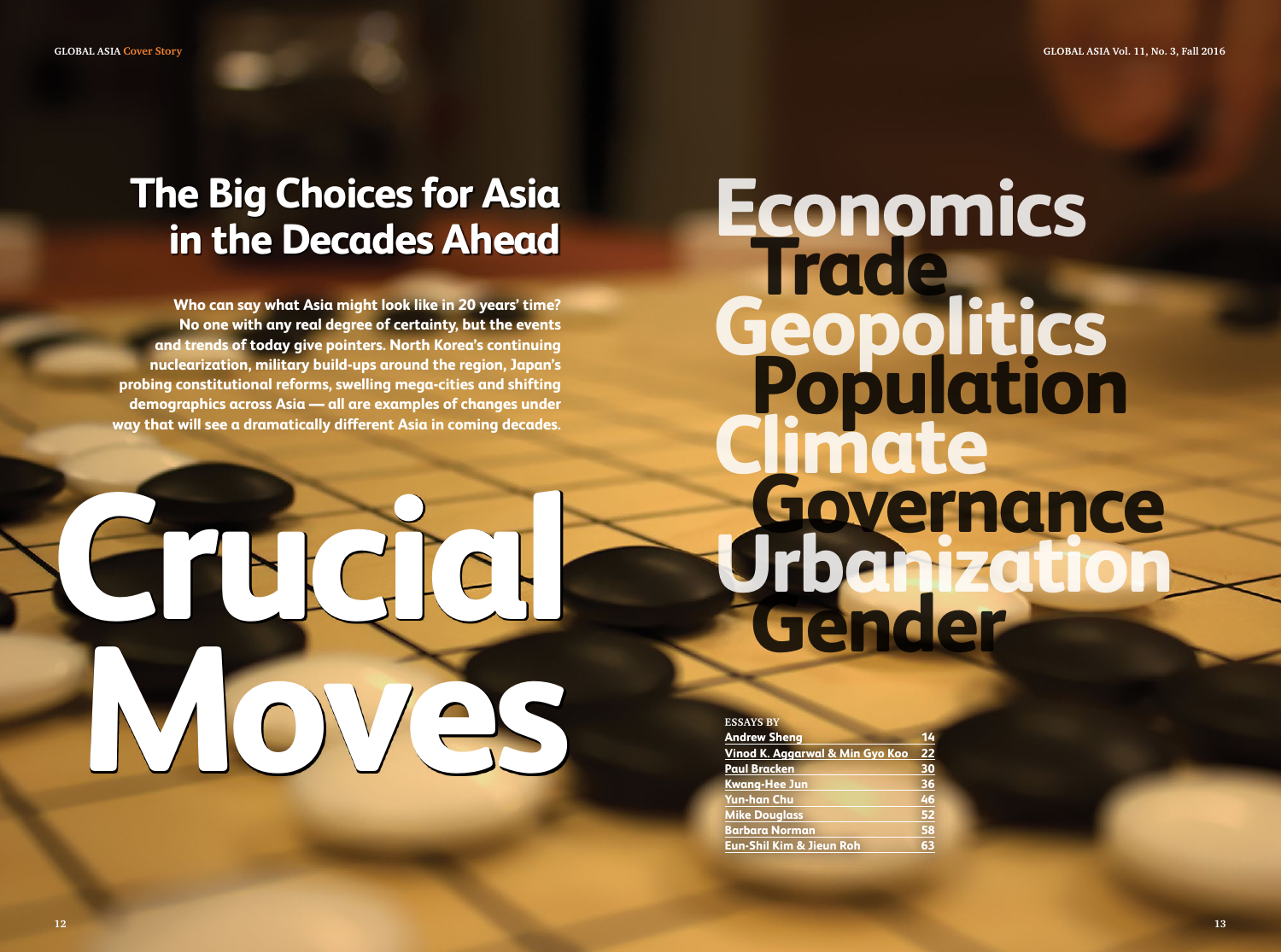## **The Big Choices for Asia in the Decades Ahead**

**Who can say what Asia might look like in 20 years' time? No one with any real degree of certainty, but the events and trends of today give pointers. North Korea's continuing nuclearization, military build-ups around the region, Japan's probing constitutional reforms, swelling mega-cities and shifting demographics across Asia — all are examples of changes under way that will see a dramatically different Asia in coming decades.**

# **Crucial Moves**

**Economics Trade Geopolitics Population Climate Governance Urbanization Gender**

#### **Essays by**

| <b>Andrew Sheng</b>                 | 14 |
|-------------------------------------|----|
| Vinod K. Aggarwal & Min Gyo Koo     | 22 |
| <b>Paul Bracken</b>                 | 30 |
| <b>Kwang-Hee Jun</b>                | 36 |
| <b>Yun-han Chu</b>                  | 46 |
| <b>Mike Douglass</b>                | 52 |
| <b>Barbara Norman</b>               | 58 |
| <b>Eun-Shil Kim &amp; Jieun Roh</b> | 63 |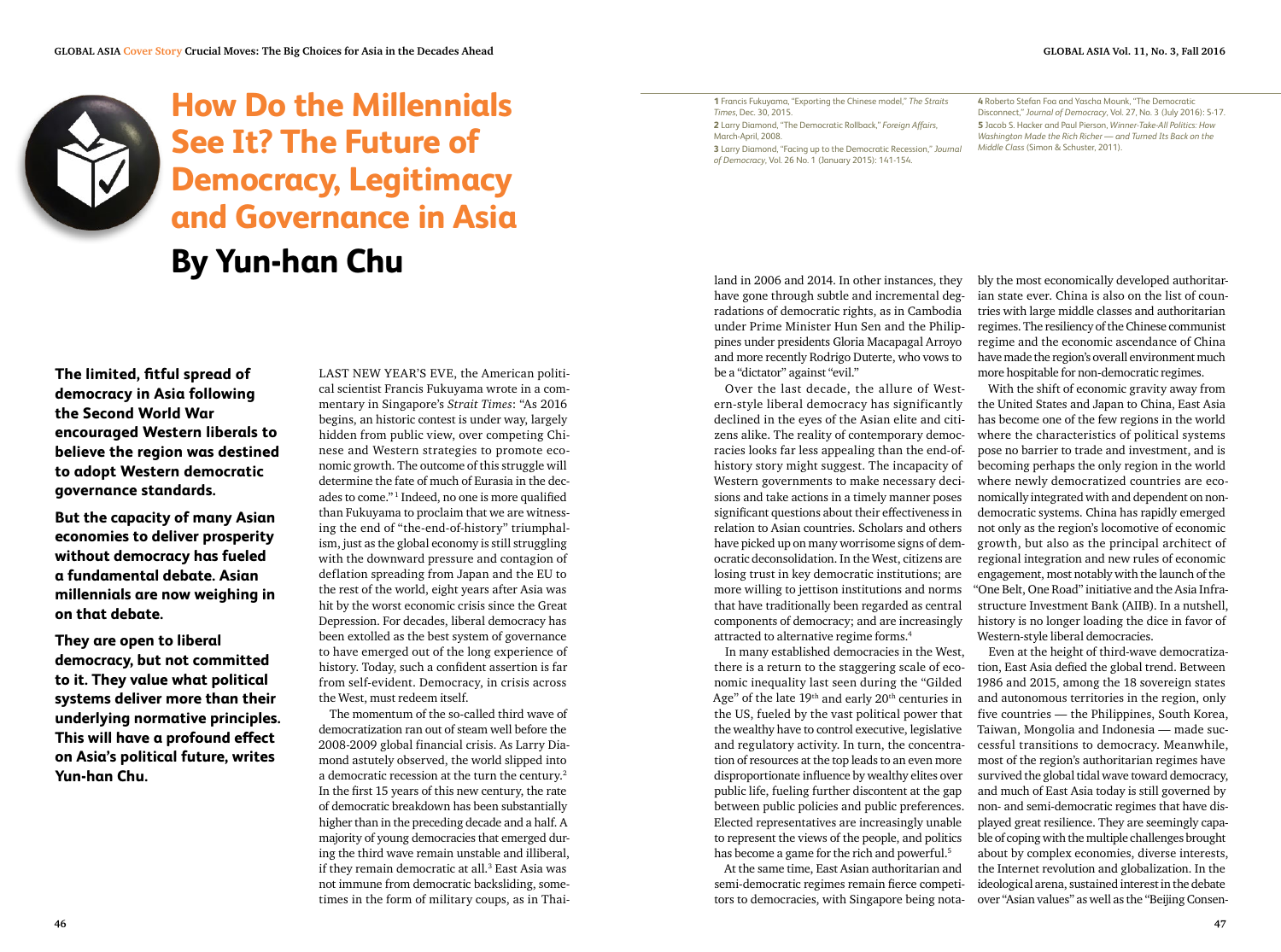

### **How Do the Millennials See It? The Future of Democracy, Legitimacy and Governance in Asia By Yun-han Chu**

**The limited, fitful spread of democracy in Asia following the Second World War encouraged Western liberals to believe the region was destined to adopt Western democratic governance standards.** 

**But the capacity of many Asian economies to deliver prosperity without democracy has fueled a fundamental debate. Asian millennials are now weighing in on that debate.** 

**They are open to liberal democracy, but not committed to it. They value what political systems deliver more than their underlying normative principles. This will have a profound effect on Asia's political future, writes Yun-han Chu.**

LAST NEW YEAR'S EVE, the American political scientist Francis Fukuyama wrote in a commentary in Singapore's *Strait Times*: "As 2016 begins, an historic contest is under way, largely hidden from public view, over competing Chinese and Western strategies to promote economic growth. The outcome of this struggle will determine the fate of much of Eurasia in the decades to come." <sup>1</sup> Indeed, no one is more qualified than Fukuyama to proclaim that we are witnessing the end of "the-end-of-history" triumphalism, just as the global economy is still struggling with the downward pressure and contagion of deflation spreading from Japan and the EU to the rest of the world, eight years after Asia was hit by the worst economic crisis since the Great Depression. For decades, liberal democracy has been extolled as the best system of governance to have emerged out of the long experience of history. Today, such a confident assertion is far from self-evident. Democracy, in crisis across the West, must redeem itself.

The momentum of the so-called third wave of democratization ran out of steam well before the 2008-2009 global financial crisis. As Larry Diamond astutely observed, the world slipped into a democratic recession at the turn the century.<sup>2</sup> In the first 15 years of this new century, the rate of democratic breakdown has been substantially higher than in the preceding decade and a half. A majority of young democracies that emerged during the third wave remain unstable and illiberal, if they remain democratic at all.<sup>3</sup> East Asia was not immune from democratic backsliding, sometimes in the form of military coups, as in Thai-

**1** Francis Fukuyama, "Exporting the Chinese model," *The Straits Times*, Dec. 30, 2015. **2** Larry Diamond, "The Democratic Rollback," *Foreign Affairs*, March-April, 2008. **3** Larry Diamond, "Facing up to the Democratic Recession," *Journal of Democracy*, Vol. 26 No. 1 (January 2015): 141-154.

**4** Roberto Stefan Foa and Yascha Mounk, "The Democratic Disconnect," *Journal of Democracy*, Vol. 27, No. 3 (July 2016): 5-17. **5** Jacob S. Hacker and Paul Pierson, *Winner-Take-All Politics: How Washington Made the Rich Richer — and Turned Its Back on the Middle Class* (Simon & Schuster, 2011).

have gone through subtle and incremental degradations of democratic rights, as in Cambodia under Prime Minister Hun Sen and the Philippines under presidents Gloria Macapagal Arroyo and more recently Rodrigo Duterte, who vows to be a "dictator" against "evil."

Over the last decade, the allure of Western-style liberal democracy has significantly declined in the eyes of the Asian elite and citizens alike. The reality of contemporary democracies looks far less appealing than the end-ofhistory story might suggest. The incapacity of Western governments to make necessary decisions and take actions in a timely manner poses significant questions about their effectiveness in relation to Asian countries. Scholars and others have picked up on many worrisome signs of democratic deconsolidation. In the West, citizens are losing trust in key democratic institutions; are more willing to jettison institutions and norms that have traditionally been regarded as central components of democracy; and are increasingly attracted to alternative regime forms.4

In many established democracies in the West, there is a return to the staggering scale of economic inequality last seen during the "Gilded Age" of the late 19<sup>th</sup> and early 20<sup>th</sup> centuries in the US, fueled by the vast political power that the wealthy have to control executive, legislative and regulatory activity. In turn, the concentration of resources at the top leads to an even more disproportionate influence by wealthy elites over public life, fueling further discontent at the gap between public policies and public preferences. Elected representatives are increasingly unable to represent the views of the people, and politics has become a game for the rich and powerful.<sup>5</sup>

At the same time, East Asian authoritarian and semi-democratic regimes remain fierce competitors to democracies, with Singapore being nota-

land in 2006 and 2014. In other instances, they bly the most economically developed authoritarian state ever. China is also on the list of countries with large middle classes and authoritarian regimes. The resiliency of the Chinese communist regime and the economic ascendance of China have made the region's overall environment much more hospitable for non-democratic regimes.

With the shift of economic gravity away from the United States and Japan to China, East Asia has become one of the few regions in the world where the characteristics of political systems pose no barrier to trade and investment, and is becoming perhaps the only region in the world where newly democratized countries are economically integrated with and dependent on nondemocratic systems. China has rapidly emerged not only as the region's locomotive of economic growth, but also as the principal architect of regional integration and new rules of economic engagement, most notably with the launch of the "One Belt, One Road" initiative and the Asia Infrastructure Investment Bank (AIIB). In a nutshell, history is no longer loading the dice in favor of Western-style liberal democracies.

Even at the height of third-wave democratization, East Asia defied the global trend. Between 1986 and 2015, among the 18 sovereign states and autonomous territories in the region, only five countries — the Philippines, South Korea, Taiwan, Mongolia and Indonesia — made successful transitions to democracy. Meanwhile, most of the region's authoritarian regimes have survived the global tidal wave toward democracy, and much of East Asia today is still governed by non- and semi-democratic regimes that have displayed great resilience. They are seemingly capable of coping with the multiple challenges brought about by complex economies, diverse interests, the Internet revolution and globalization. In the ideological arena, sustained interest in the debate over "Asian values" as well as the "Beijing Consen-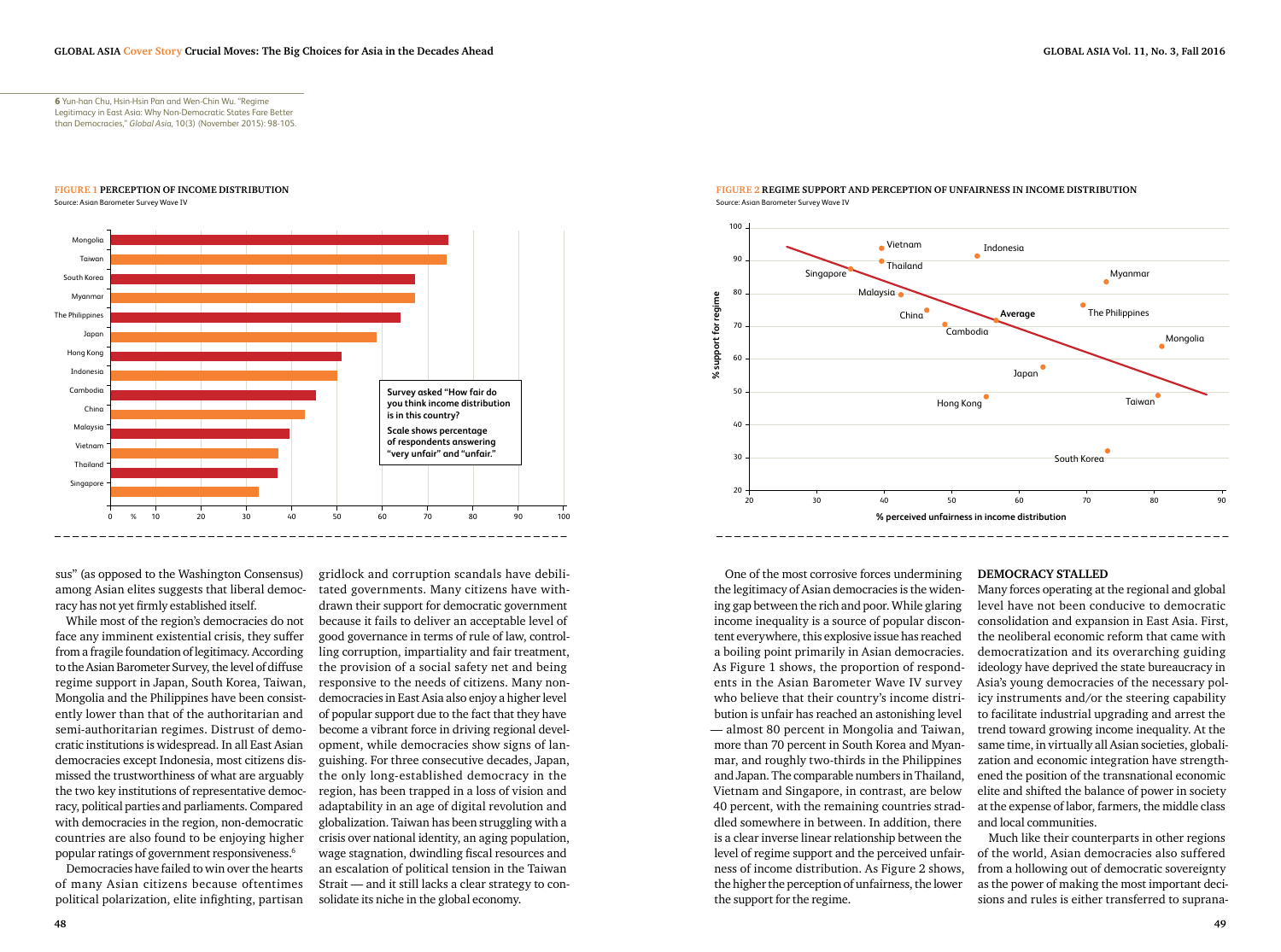**6** Yun-han Chu, Hsin-Hsin Pan and Wen-Chin Wu. "Regime Legitimacy in East Asia: Why Non-Democratic States Fare Better than Democracies," *Global Asia*, 10(3) (November 2015): 98-105.

#### **figure 1 Perception of income distribution**

Source: Asian Barometer Survey Wave IV



sus" (as opposed to the Washington Consensus) among Asian elites suggests that liberal democracy has not yet firmly established itself.

While most of the region's democracies do not face any imminent existential crisis, they suffer from a fragile foundation of legitimacy. According to the Asian Barometer Survey, the level of diffuse regime support in Japan, South Korea, Taiwan, Mongolia and the Philippines have been consistently lower than that of the authoritarian and semi-authoritarian regimes. Distrust of democratic institutions is widespread. In all East Asian democracies except Indonesia, most citizens dismissed the trustworthiness of what are arguably the two key institutions of representative democracy, political parties and parliaments. Compared with democracies in the region, non-democratic countries are also found to be enjoying higher popular ratings of government responsiveness.6

Democracies have failed to win over the hearts of many Asian citizens because oftentimes political polarization, elite infighting, partisan gridlock and corruption scandals have debilitated governments. Many citizens have withdrawn their support for democratic government because it fails to deliver an acceptable level of good governance in terms of rule of law, controlling corruption, impartiality and fair treatment, the provision of a social safety net and being responsive to the needs of citizens. Many nondemocracies in East Asia also enjoy a higher level of popular support due to the fact that they have become a vibrant force in driving regional development, while democracies show signs of languishing. For three consecutive decades, Japan, the only long-established democracy in the region, has been trapped in a loss of vision and adaptability in an age of digital revolution and globalization. Taiwan has been struggling with a crisis over national identity, an aging population, wage stagnation, dwindling fiscal resources and an escalation of political tension in the Taiwan Strait — and it still lacks a clear strategy to consolidate its niche in the global economy.



#### **figure 2 regime support and perception of unfairness in income distribution** Source: Asian Barometer Survey Wave IV

One of the most corrosive forces undermining the legitimacy of Asian democracies is the widening gap between the rich and poor. While glaring income inequality is a source of popular discontent everywhere, this explosive issue has reached a boiling point primarily in Asian democracies. As Figure 1 shows, the proportion of respondents in the Asian Barometer Wave IV survey who believe that their country's income distribution is unfair has reached an astonishing level — almost 80 percent in Mongolia and Taiwan, more than 70 percent in South Korea and Myanmar, and roughly two-thirds in the Philippines and Japan. The comparable numbers in Thailand, Vietnam and Singapore, in contrast, are below 40 percent, with the remaining countries straddled somewhere in between. In addition, there is a clear inverse linear relationship between the level of regime support and the perceived unfairness of income distribution. As Figure 2 shows, the higher the perception of unfairness, the lower the support for the regime.

#### **Democracy stalled**

Many forces operating at the regional and global level have not been conducive to democratic consolidation and expansion in East Asia. First, the neoliberal economic reform that came with democratization and its overarching guiding ideology have deprived the state bureaucracy in Asia's young democracies of the necessary policy instruments and/or the steering capability to facilitate industrial upgrading and arrest the trend toward growing income inequality. At the same time, in virtually all Asian societies, globalization and economic integration have strengthened the position of the transnational economic elite and shifted the balance of power in society at the expense of labor, farmers, the middle class and local communities.

Much like their counterparts in other regions of the world, Asian democracies also suffered from a hollowing out of democratic sovereignty as the power of making the most important decisions and rules is either transferred to suprana-